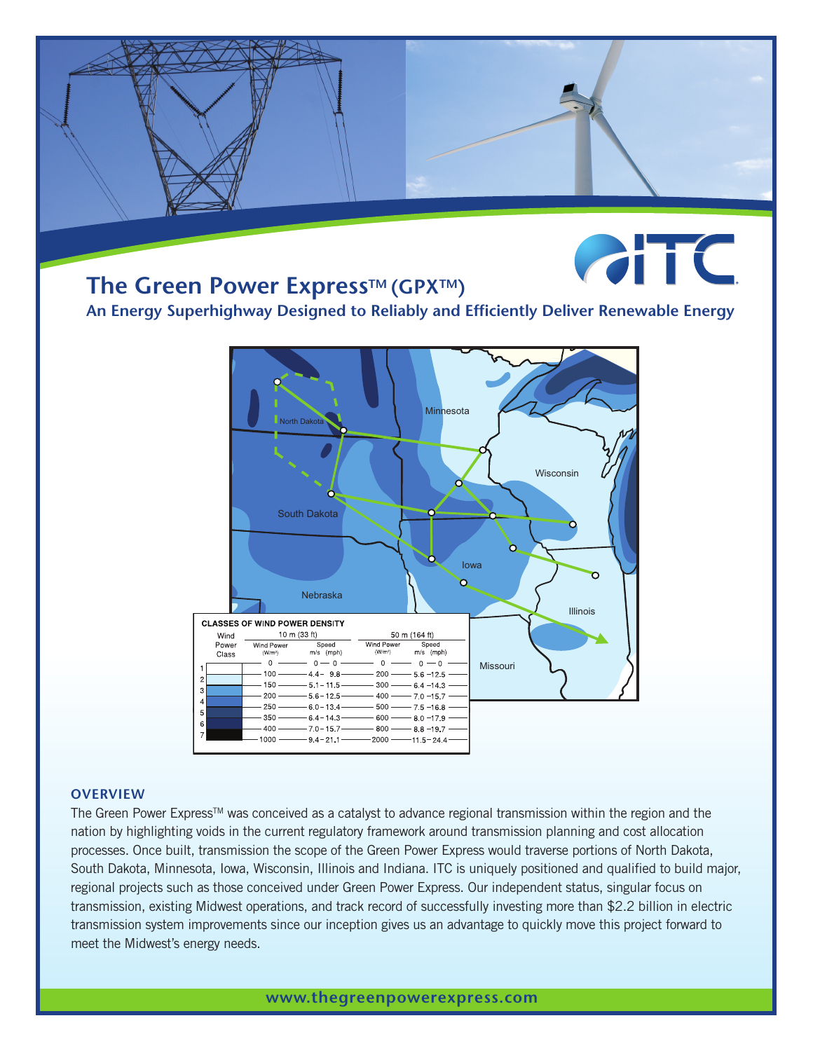## **The Green Power Express™ (GPX™)**



**An Energy Superhighway Designed to Reliably and Efficiently Deliver Renewable Energy**



## **OVERVIEW**

The Green Power Express<sup>TM</sup> was conceived as a catalyst to advance regional transmission within the region and the nation by highlighting voids in the current regulatory framework around transmission planning and cost allocation processes. Once built, transmission the scope of the Green Power Express would traverse portions of North Dakota, South Dakota, Minnesota, Iowa, Wisconsin, Illinois and Indiana. ITC is uniquely positioned and qualified to build major, regional projects such as those conceived under Green Power Express. Our independent status, singular focus on transmission, existing Midwest operations, and track record of successfully investing more than \$2.2 billion in electric transmission system improvements since our inception gives us an advantage to quickly move this project forward to meet the Midwest's energy needs.